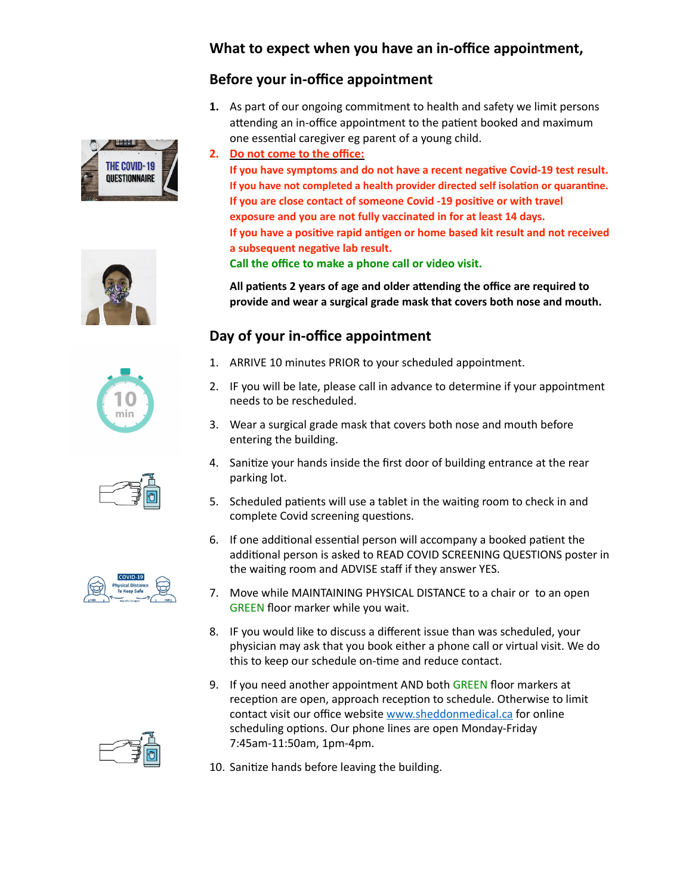## **What to expect when you have an in-office appointment,**

## **Before your in-office appointment**

THE COVID-19 QUESTIONNAIRE







- **1.** As part of our ongoing commitment to health and safety we limit persons attending an in-office appointment to the patient booked and maximum one essential caregiver eg parent of a young child.
- **2. Do not come to the office:**

If you have symptoms and do not have a recent negative Covid-19 test result. If you have not completed a health provider directed self isolation or quarantine. **If you are close contact of someone Covid -19 positive or with travel exposure and you are not fully vaccinated in for at least 14 days. If you have a positive rapid antigen or home based kit result and not received** a subsequent negative lab result. **Call the office to make a phone call or video visit.** 

All patients 2 years of age and older attending the office are required to **provide and wear a surgical grade mask that covers both nose and mouth.** 

## **Day of your in-office appointment**

- 1. ARRIVE 10 minutes PRIOR to your scheduled appointment.
- 2. IF you will be late, please call in advance to determine if your appointment needs to be rescheduled.
- 3. Wear a surgical grade mask that covers both nose and mouth before entering the building.
- 4. Sanitize your hands inside the first door of building entrance at the rear parking lot.
- 5. Scheduled patients will use a tablet in the waiting room to check in and complete Covid screening questions.
- 6. If one additional essential person will accompany a booked patient the additional person is asked to READ COVID SCREENING QUESTIONS poster in the waiting room and ADVISE staff if they answer YES.
- 7. Move while MAINTAINING PHYSICAL DISTANCE to a chair or to an open GREEN floor marker while you wait.
- 8. IF you would like to discuss a different issue than was scheduled, your physician may ask that you book either a phone call or virtual visit. We do this to keep our schedule on-time and reduce contact.
- 9. If you need another appointment AND both GREEN floor markers at reception are open, approach reception to schedule. Otherwise to limit contact visit our office website [www.sheddonmedical.ca](http://www.sheddonmedical.ca) for online scheduling options. Our phone lines are open Monday-Friday 7:45am-11:50am, 1pm-4pm.
- 10. Sanitize hands before leaving the building.